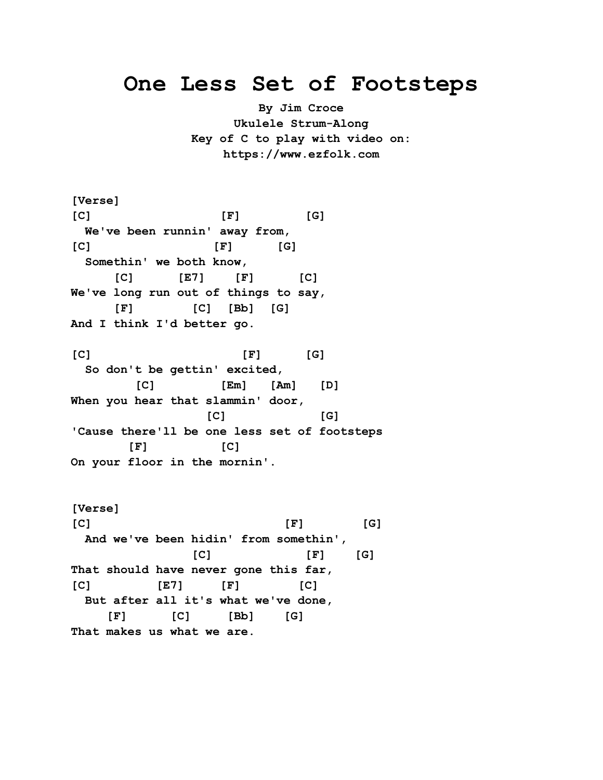## **One Less Set of Footsteps**

**By Jim Croce Ukulele Strum-Along Key of C to play with video on: https://www.ezfolk.com**

**[Verse] [C] [F] [G] We've been runnin' away from, [C] [F] [G] Somethin' we both know, [C] [E7] [F] [C] We've long run out of things to say, [F] [C] [Bb] [G] And I think I'd better go. [C] [F] [G] So don't be gettin' excited, [C] [Em] [Am] [D] When you hear that slammin' door, [C] [G] 'Cause there'll be one less set of footsteps [F] [C] On your floor in the mornin'.**

**[Verse] [C] [F] [G] And we've been hidin' from somethin', [C] [F] [G] That should have never gone this far, [C] [E7] [F] [C] But after all it's what we've done, [F] [C] [Bb] [G] That makes us what we are.**